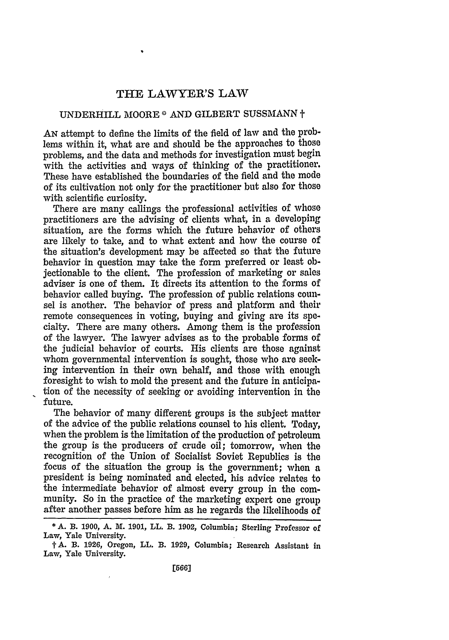## THE LAWYER'S LAW

## UNDERHILL MOORE \* AND GILBERT SUSSMANN t

AN attempt to define the limits of the field of law and the problems within it, what are and should be the approaches to those problems, and the data and methods for investigation must begin with the activities and ways of thinking of the practitioner. These have established the boundaries of the field and the mode of its cultivation not only for the practitioner but also for those with scientific curiosity.

There are many callings the professional activities of whose practitioners are the advising of clients what, in a developing situation, are the forms which the future behavior of others are likely to take, and to what extent and how the course of the situation's development may be affected so that the future behavior in question may take the form preferred or least objectionable to the client. The profession of marketing or sales adviser is one of them. It directs its attention to the forms of behavior called buying. The profession of public relations counsel is another. The behavior of press and platform and their remote consequences in voting, buying and giving are its specialty. There are many others. Among them is the profession of the lawyer. The lawyer advises as to the probable forms of the judicial behavior of courts. His clients are those against whom governmental intervention is sought, those who are seeking intervention in their own behalf, and those with enough foresight to wish to mold the present and the future in anticipation of the necessity of seeking or avoiding intervention in the future.

The behavior of many different groups is the subject matter of the advice of the public relations counsel to his client. Today, when the problem is the limitation of the production of petroleum the group is the producers of crude oil; tomorrow, when the recognition of the Union of Socialist Soviet Republics is the focus of the situation the group is the government; when a president is being nominated and elected, his advice relates to the intermediate behavior of almost every group in the community. So in the practice of the marketing expert one group after another passes before him as he regards the likelihoods of

<sup>\*</sup> **A. B. 1900, A. M. 1901, LL. B. 1902, Columbia; Sterling** Professor of **Law, Yale University.**

t **A.** B. **1926,** Oregon, LL. **B. 1929,** Columbia; Research Assistant in Law, Yale University.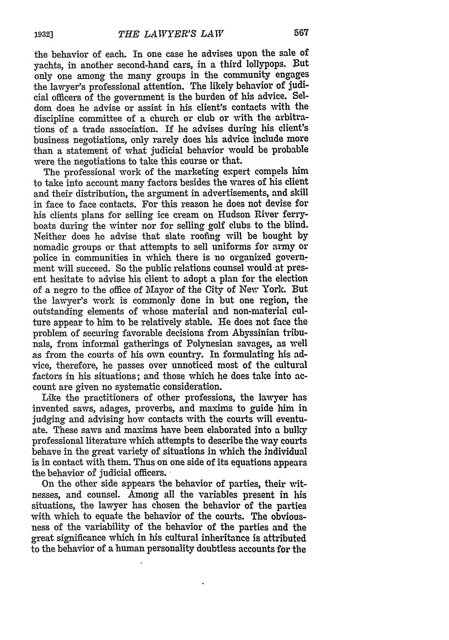567

the behavior of each. In one case he advises upon the sale of yachts, in another second-hand cars, in a third lollypops. But only one among the many groups in the community engages the lawyer's professional attention. The likely behavior of judicial officers of the government is the burden of his advice. Seldom does he advise or assist in his client's contacts with the discipline committee of a church or club or with the arbitrations of a trade association. If he advises during his client's business negotiations, only rarely does his advice include more than a statement of what judicial behavior would be probable were the negotiations to take this course or that.

The professional work of the marketing expert compels him to take into account many factors besides the wares of his client and their distribution, the argument in advertisements, and skill in face to face contacts. For this reason he does not devise for his clients plans for selling ice cream on Hudson River ferryboats during the winter nor for selling golf clubs to the blind. Neither does he advise that slate roofing will be bought by nomadic groups or that attempts to sell uniforms for army or police in communities in which there is no organized government will succeed. So the public relations counsel would at present hesitate to advise his client to adopt a plan for the election of a negro to the office of Mayor of the City of New York. But the lawyer's work is commonly done in but one region, the outstanding elements of whose material and non-material culture appear to him to be relatively stable. He does not face the problem of securing favorable decisions from Abyssinian tribunals, from informal gatherings of Polynesian savages, as well as from the courts of his own country. In formulating his advice, therefore, he passes over unnoticed most of the cultural factors in his situations; and those which he does take into account are given no systematic consideration.

Like the practitioners of other professions, the lawyer has invented saws, adages, proverbs, and maxims to guide him in judging and advising how contacts with the courts will eventuate. These saws and maxims have been elaborated into a bulky professional literature which attempts to describe the way courts behave in the great variety of situations in which the individual is in contact with them. Thus on one side of its equations appears the behavior of judicial officers.

On the other side appears the behavior of parties, their witnesses, and counsel. Among all the variables present in his situations, the lawyer has chosen the behavior of the parties with which to equate the behavior of the courts. The obviousness of the variability of the behavior of the parties and the great significance which in his cultural inheritance is attributed to the behavior of a human personality doubtless accounts for the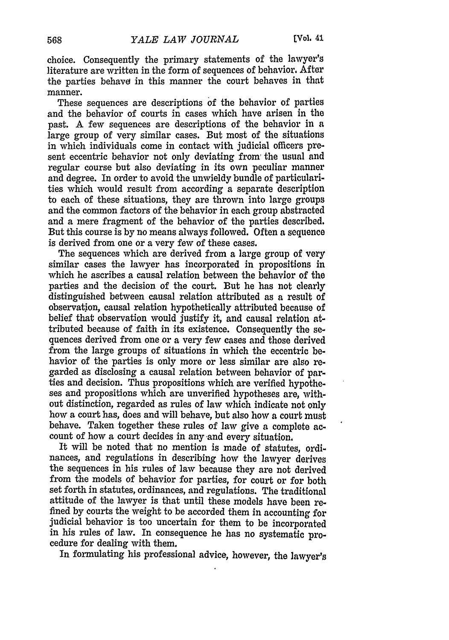choice. Consequently the primary statements of the lawyer's literature are written in the form of sequences of behavior. After the parties behave in this manner the court behaves in that manner.

These sequences are descriptions of the behavior of parties and the behavior of courts in cases which have arisen in the past. A few sequences are descriptions of the behavior in a large group of very similar cases. But most of the situations in which individuals come in contact with judicial officers present eccentric behavior not only deviating from' the usual and regular course but also deviating in its own peculiar manner and degree. In order to avoid the unwieldy bundle of particularities which would result from according a separate description to each of these situations, they are thrown into large groups and the common factors of the behavior in each group abstracted and a mere fragment of the behavior of the parties described. But this course is by no means always followed. Often a sequence is derived from one or a very few of these cases.

The sequences which are derived from a large group of very similar cases the lawyer has incorporated in propositions in which he ascribes a causal relation between the behavior of the parties and the decision of the court. But he has not clearly distinguished between causal relation attributed as a result of observation, causal relation hypothetically attributed because of belief that observation would justify it, and causal relation attributed because of faith in its existence. Consequently the sequences derived from one or a very few cases and those derived from the large groups of situations in which the eccentric behavior of the parties is only more or less similar are also regarded as disclosing a causal relation between behavior of parties and decision. Thus propositions which are verified hypotheses and propositions which are unverified hypotheses are, without distinction, regarded as rules of law which indicate not only how a court has, does and will behave, but also how a court must behave. Taken together these rules of law give a complete account of how a court decides in any and every situation.

It will be noted that no mention is made of statutes, ordinances, and regulations in describing how the lawyer derives the sequences in his rules of law because they are not derived from the models of behavior for parties, for court or for both set forth in statutes, ordinances, and regulations. The traditional attitude of the lawyer is that until these models have been refined by courts the weight to be accorded them in accounting for judicial behavior is too uncertain for them to be incorporated in his rules of law. In consequence he has no systematic procedure for dealing with them.

In formulating his professional advice, however, the lawyer's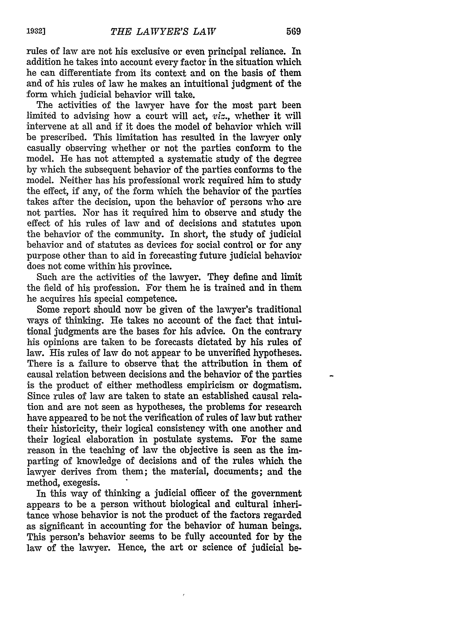rules of law are not his exclusive or even principal reliance. In addition he takes into account every factor in the situation which he can differentiate from its context and on the basis of them and of his rules of law he makes an intuitional judgment of the form which judicial behavior will take.

The activities of the lawyer have for the most part been limited to advising how a court will act, *viz.,* whether it will intervene at all and if it does the model of behavior which will be prescribed. This limitation has resulted in the lawyer only casually observing whether or not the parties conform to the model. He has not attempted a systematic study of the degree by which the subsequent behavior of the parties conforms to the model. Neither has his professional work required **him** to study the effect, if any, of the form which the behavior of the parties takes after the decision, upon the behavior of persons **who** are not parties. Nor has it required him to observe and study the effect of his rules of law and of decisions and statutes upon the behavior of the community. In short, the study of judicial behavior and of statutes as devices for social control or for any purpose other than to aid in forecasting future judicial behavior does not come within his province.

Such are the activities of the lawyer. They define and limit the field of his profession. For them he is trained and in them he acquires his special competence.

Some report should now be given of the lawyer's traditional ways of thinking. He takes no account of the fact that intuitional judgments are the bases for his advice. On the contrary his opinions are taken to be forecasts dictated by his rules of law. His rules of law do not appear to be unverified hypotheses. There is a failure to observe that the attribution in them of causal relation between decisions and the behavior of the parties is the product of either methodless empiricism or dogmatism. Since rules of law are taken to state an established causal relation and are not seen as hypotheses, the problems for research have appeared to be not the verification of rules of law but rather their historicity, their logical consistency with one another and their logical elaboration in postulate systems. For the same reason in the teaching of law the objective is seen as the imparting of knowledge of decisions and of the rules which the lawyer derives from them; the material, documents; and the method, exegesis.

In this way of thinking a judicial officer of the government appears to be a person without biological and cultural inheritance whose behavior is not the product of the factors regarded as significant in accounting for the behavior of human beings. This person's behavior seems to be fully accounted for by the law of the lawyer. Hence, the art or science of judicial be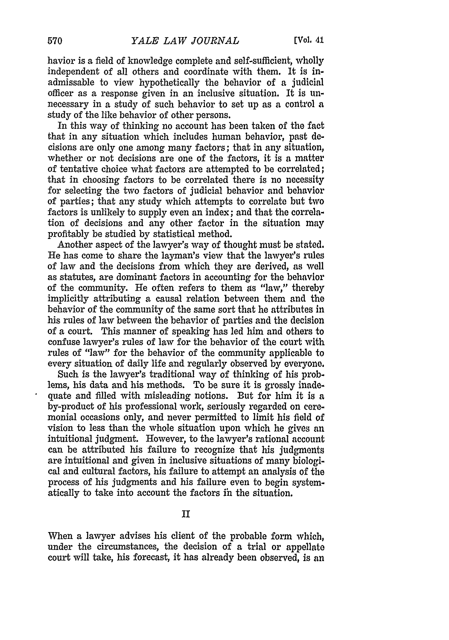havior is a field of knowledge complete and self-sufficient, wholly independent of all others and coordinate with them. It is inadmissable to view hypothetically the behavior of a judicial officer as a response given in an inclusive situation. It is unnecessary in a study of such behavior to set up as a control a study of the like behavior of other persons.

In this way of thinking no account has been taken of the fact that in any situation which includes human behavior, past decisions are only one among many factors; that in any situation, whether or not decisions are one of the factors, it is a matter of tentative choice what factors are attempted to be correlated; that in choosing factors to be correlated there is no necessity for selecting the two factors of judicial behavior and behavior of parties; that any study which attempts to correlate but two factors is unlikely to supply even an index; and that the correlation of decisions and any other factor in the situation may profitably be studied by statistical method.

Another aspect of the lawyer's way of thought must be stated. He has come to share the layman's view that the lawyer's rules of law and the decisions from which they are derived, as well as statutes, are dominant factors in accounting for the behavior of the community. He often refers to them as "law," thereby implicitly attributing a causal relation between them and the behavior of the community of the same sort that he attributes in his rules of law between the behavior of parties and the decision of a court. This manner of speaking has led him and others to confuse lawyer's rules of law for the behavior of the court with rules of "law" for the behavior of the community applicable to every situation of daily life and regularly observed by everyone.

Such is the lawyer's traditional way of thinking of his problems, his data and his methods. To be sure it is grossly inadequate and filled with misleading notions. But for him it is a by-product of his professional work, seriously regarded on ceremonial occasions only, and never permitted to limit his field of vision to less than the whole situation upon which he gives an intuitional judgment. However, to the lawyer's rational account can be attributed his failure to recognize that his judgments are intuitional and given in inclusive situations of many biological and cultural factors, his failure to attempt an analysis of the process of his judgments and his failure even to begin systematically to take into account the factors **in** the situation.

**II**

When a lawyer advises his client of the probable form which, under the circumstances, the decision of a trial or appellate court will take, his forecast, it has already been observed, is an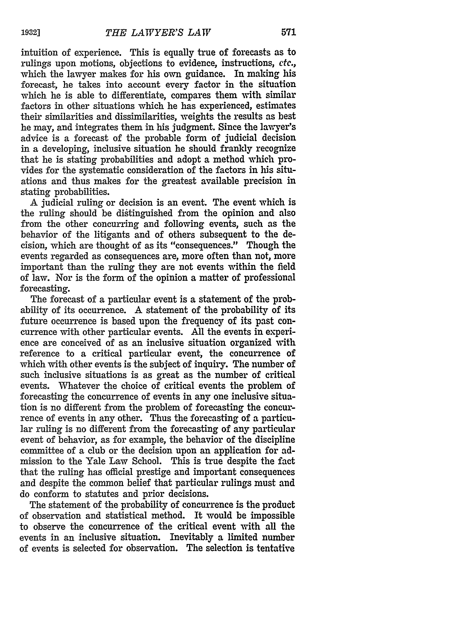intuition of experience. This is equally true of forecasts as to rulings upon motions, objections to evidence, instructions, etc., which the lawyer makes for his own guidance. In making his forecast, he takes into account every factor in the situation which he is able to differentiate, compares them with similar factors in other situations which he has experienced, estimates their similarities and dissimilarities, weights the results as best he may, and integrates them in his judgment. Since the lawyer's advice is a forecast of the probable form of judicial decision in a developing, inclusive situation he should frankly recognize that he is stating probabilities and adopt a method which provides for the systematic consideration of the factors in his situations and thus makes for the greatest available precision in stating probabilities.

A judicial ruling or decision is an event. The event which is the ruling should be distinguished from the opinion and also from the other concurring and following events, such as the behavior of the litigants and of others subsequent to the decision, which are thought of as its "consequences." Though the events regarded as consequences are, more often than not, more important than the ruling they are not events witlin the field of law. Nor is the form of the opinion a matter of professional forecasting.

The forecast of a particular event is a statement of the probability of its occurrence. A statement of the probability of its future occurrence is based upon the frequency of its past concurrence with other particular events. All the events in experience are conceived of as an inclusive situation organized with reference to a critical particular event, the concurrence of which with other events is the subject of inquiry. The number of such inclusive situations is as great as the number of critical events. Whatever the choice of critical events the problem of forecasting the concurrence of events in any one inclusive situation is no different from the problem of forecasting the concurrence of events in any other. Thus the forecasting of a particular ruling is no different from the forecasting of any particular event of behavior, as for example, the behavior of the discipline committee of a club or the decision upon an application for admission to the Yale Law School. This is true despite the fact that the ruling has official prestige and important consequences and despite the common belief that particular rulings must and do conform to statutes and prior decisions.

The statement of the probability of concurrence is the product of observation and statistical method. It would be impossible to observe the concurrence of the critical event with all the events in an inclusive situation. Inevitably a limited number of events is selected for observation. The selection is tentative

19321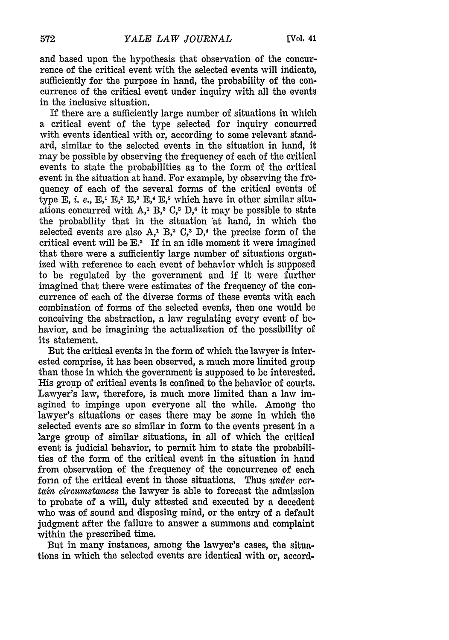and based upon the hypothesis that observation of the concurrence of the critical event with the selected events will indicate, sufficiently for the purpose in hand, the probability of the concurrence of the critical event under inquiry with **all** the events in the inclusive situation.

If there are a sufficiently large number of situations in which a critical event of the type selected for inquiry concurred with events identical with or, according to some relevant standard, similar to the selected events in the situation in hand, it may be possible **by** observing the frequency of each of the critical events to state the probabilities as to the form of the critical event in the situation at hand. For example, **by** observing the frequency of each of the several forms of the critical events of type **E**, *i. e.*, **E**,<sup> $1$ </sup> **E**, $2$ <sup></sup> **E**, $3$ <sup> $>$ </sup> **E**, $5$ <sup> $>$ </sup> which have in other similar situations concurred with A,<sup>1</sup> B,<sup>2</sup> C,<sup>3</sup> D,<sup>4</sup> it may be possible to state the probability that in the situation at hand, in which the selected events are also **A,'** B,2 **C,3 D, <sup>4</sup>**the precise form of the critical event will be E<sup>.5</sup> If in an idle moment it were imagined that there were a sufficiently large number of situations organized with reference to each event of behavior which is supposed to be regulated **by** the government and if it were further imagined that there were estimates of the frequency of the concurrence of each of the diverse forms of these events with each combination of forms of the selected events, then one would **be** conceiving the abstraction, a law regulating every event of behavior, and be imagining the actualization of the possibility of its statement.

But the critical events in the form of which the lawyer is interested comprise, it has been observed, a much more limited group than those in which the government is supposed to be interested. His group of critical events is confined to the behavior of courts. Lawyer's law, therefore, is much more limited than a law imagined to impinge upon everyone all the while. Among the lawyer's situations or cases there may be some in which the selected events are so similar in form to the events present in a large group of similar situations, in all of which the critical event is judicial behavior, to permit him to state the probabilities of the form of the critical event in the situation in hand from observation of the frequency of the concurrence of each **form** of the critical event in those situations. Thus *under cartain circumstances* the lawyer is able to forecast the admission to probate of a will, duly attested and executed by a decedent who was of sound and disposing mind, or the entry of a default judgment after the failure to answer a summons and complaint within the prescribed time.

But in many instances, among the lawyer's cases, the situations in which the selected events are identical with or, accord-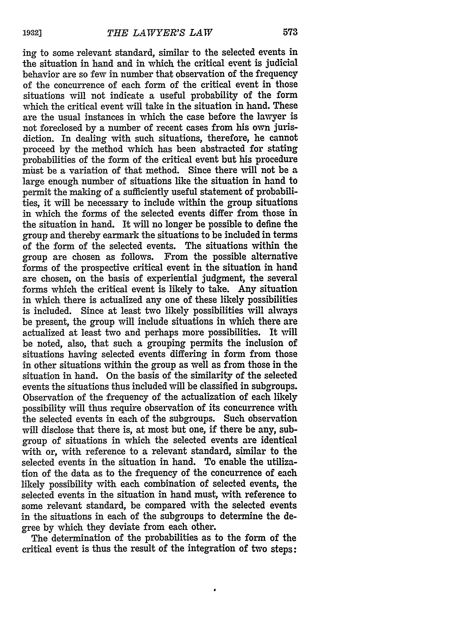ing to some relevant standard, similar to the selected events in the situation in hand and in which the critical event is judicial behavior are so few in number that observation of the frequency of the concurrence of each form of the critical event in those situations will not indicate a useful probability of the form which the critical event will take in the situation in hand. These are the usual instances in which the case before the lawyer is not foreclosed by a number of recent cases from his own jurisdiction. In dealing with such situations, therefore, he cannot proceed by the method which has been abstracted for stating probabilities of the form of the critical event but his procedure must be a variation of that method. Since there will not be a large enough number of situations like the situation in hand to permit the making of a sufficiently useful statement of probabilities, it will be necessary to include within the group situations in which the forms of the selected events differ from those in the situation in hand. It will no longer be possible to define the group and thereby earmark the situations to be included in terms of the form of the selected events. The situations within the group are chosen as follows. From the possible alternative forms of the prospective critical event in the situation in hand are chosen, on the basis of experiential judgment, the several forms which the critical event is likely to take. Any situation in which there is actualized any one of these likely possibilities is included. Since at least two likely possibilities will always be present, the group will include situations in which there are actualized at least two and perhaps more possibilities. It will be noted, also, that such a grouping permits the inclusion of situations having selected events differing in form from those in other situations within the group as well as from those in the situation in hand. On the basis of the similarity of the selected events the situations thus included will be classified in subgroups. Observation of the frequency of the actualization of each likely possibility will thus require observation of its concurrence with the selected events in each of the subgroups. Such observation will disclose that there is, at most but one, if there be any, subgroup of situations in which the selected events are identical with or, with reference to a relevant standard, similar to the selected events in the situation in hand. To enable the utilization of the data as to the frequency of the concurrence of each likely possibility with each combination of selected events, the selected events in the situation in hand must, with reference to some relevant standard, be compared with the selected events in the situations in each of the subgroups to determine the degree by which they deviate from each other.

The determination of the probabilities as to the form of the critical event is thus the result of the integration of two steps:

**1932]**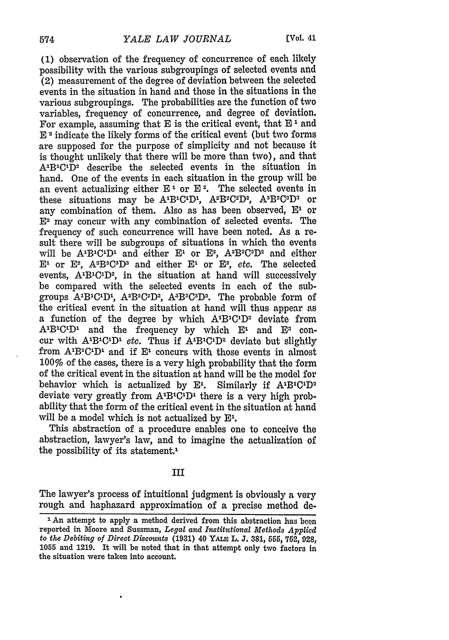**(1)** observation of the frequency of concurrence of each likely possibility with the various subgroupings of selected events and (2) measurement of the degree of deviation between the selected events in the situation in hand and those in the situations in the various subgroupings. The probabilities are the function of two variables, frequency of concurrence, and degree of deviation. For example, assuming that  $E$  is the critical event, that  $E^1$  and E 2 indicate the likely forms of the critical event (but two forms are supposed for the purpose of simplicity and not because it is thought unlikely that there will be more than two), and that  $A^1B^1C^1D^2$  describe the selected events in the situation in hand. One of the events in each situation in the group will be an event actualizing either  $E^1$  or  $E^2$ . The selected events in these situations may be A<sup>1</sup>B<sup>1</sup>C<sup>1</sup>D<sup>1</sup>, A<sup>2</sup>B<sup>2</sup>C<sup>2</sup>D<sup>2</sup>, A<sup>3</sup>B<sup>3</sup>C<sup>3</sup>D<sup>3</sup> or any combination of them. Also as has been observed, **El** or  $E<sup>2</sup>$  may concur with any combination of selected events. The frequency of such concurrence will have been noted. As a result there will be subgroups of situations in which the events will be A<sup>1</sup>B<sup>1</sup>C<sup>1</sup>D<sup>1</sup> and either E<sup>1</sup> or E<sup>2</sup>, A<sup>2</sup>B<sup>2</sup>C<sup>2</sup>D<sup>2</sup> and either  $E^1$  or  $E^2$ ,  $A^3B^3C^3D^3$  and either  $E^1$  or  $E^2$ , etc. The selected events, A<sup>1</sup>B<sup>1</sup>C<sup>1</sup>D<sup>2</sup>, in the situation at hand will successively be compared with the selected events in each of the subgroups A<sup>1</sup>B<sup>1</sup>C<sup>1</sup>D<sup>1</sup>, A<sup>2</sup>B<sup>2</sup>C<sup>2</sup>D<sup>2</sup>, A<sup>3</sup>B<sup>2</sup>C<sup>3</sup>D<sup>3</sup>. The probable form of the critical event in the situation at hand will thus appear as a function of the degree by which  $A^1B^1C^1D^2$  deviate from  $A^1B^1C^1D^1$  and the frequency by which  $E^1$  and  $E^2$  concur with  $A^{1}B^{1}C^{1}D^{1}$  etc. Thus if  $A^{1}B^{1}C^{1}D^{2}$  deviate but slightly from  $A^1B^1C^1D^1$  and if  $E^1$  concurs with those events in almost 100% of the cases, there is a very high probability that the form of the critical event in the situation at hand will be the model for behavior which is actualized by E<sup>1</sup>. Similarly if A<sup>1</sup>B<sup>1</sup>C<sup>1</sup>D<sup>2</sup> deviate very greatly from  $A^{1}B^{1}C^{1}D^{1}$  there is a very high probability that the form of the critical event in the situation at hand will be a model which is not actualized by **El.**

This abstraction of a procedure enables one to conceive the abstraction, lawyer's law, and to imagine the actualization of the possibility of its statement. $1$ 

## III

The lawyer's process of intuitional judgment is obviously a very rough and haphazard approximation of a precise method de-

<sup>&</sup>lt;sup>1</sup> An attempt to apply a method derived from this abstraction has been reported in Moore and Sussman, *Legal and Institutional Methods Appled to the Debiting of Direct Discounts* **(1931) 40 YALE** L. **J. 381, 555, 752, 928, 1055** and **1219.** It will be noted that in that attempt only two **factors** in the situation were taken into account.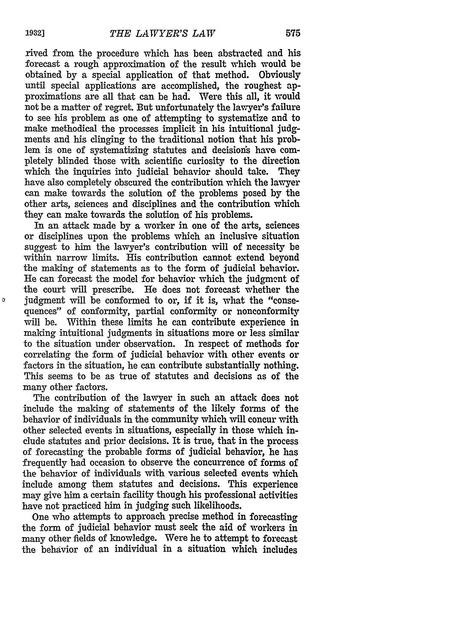575

rived from the procedure which has been abstracted and his forecast a rough approximation of the result which would be obtained by a special application of that method. Obviously until special applications are accomplished, the roughest approximations are all that can be had. Were this all, it would not be a matter of regret. But unfortunately the lawyer's failure to see his problem as one of attempting to systematize and to make methodical the processes implicit in his intuitional judgments and his clinging to the traditional notion that his problem is one of systematizing statutes and decisions have completely blinded those with scientific curiosity to the direction which the inquiries into judicial behavior should take. They have also completely obscured the contribution which the lawyer can make towards the solution of the problems posed by the other arts, sciences and disciplines and the contribution which they can make towards the solution of his problems.

In an attack made by a worker in one of the arts, sciences or disciplines upon the problems which an inclusive situation suggest to him the lawyer's contribution will of necessity be within narrow limits. His contribution cannot extend beyond the making of statements as to the form of judicial behavior. He can forecast the model for behavior which the judgment of the court will prescribe. He does not forecast whether the judgment will be conformed to or, if it is, what the "consequences" of conformity, partial conformity or nonconformity will be. Within these limits he can contribute experience in making intuitional judgments in situations more or less similar to the situation under observation. In respect of methods for correlating the form of judicial behavior with other events or factors in the situation, he can contribute substantially nothing. This seems to be as true of statutes and decisions as of the many other factors.

The contribution of the lawyer in such an attack does not include the making of statements of the likely forms of the behavior of individuals in the community which will concur with other selected events in situations, especially in those which include statutes and prior decisions. It is true, that in the process of forecasting the probable forms of judicial behavior, he has frequently had occasion to observe the concurrence of forms of the behavior of individuals with various selected events which include among them statutes and decisions. This experience may give him a certain facility though his professional activities have not practiced him in judging such likelihoods.

One who attempts to approach precise method in forecasting the form of judicial behavior must seek the aid of workers in many other fields of knowledge. Were he to attempt to forecast the behavior of an individual in a situation which includes

 $\alpha$